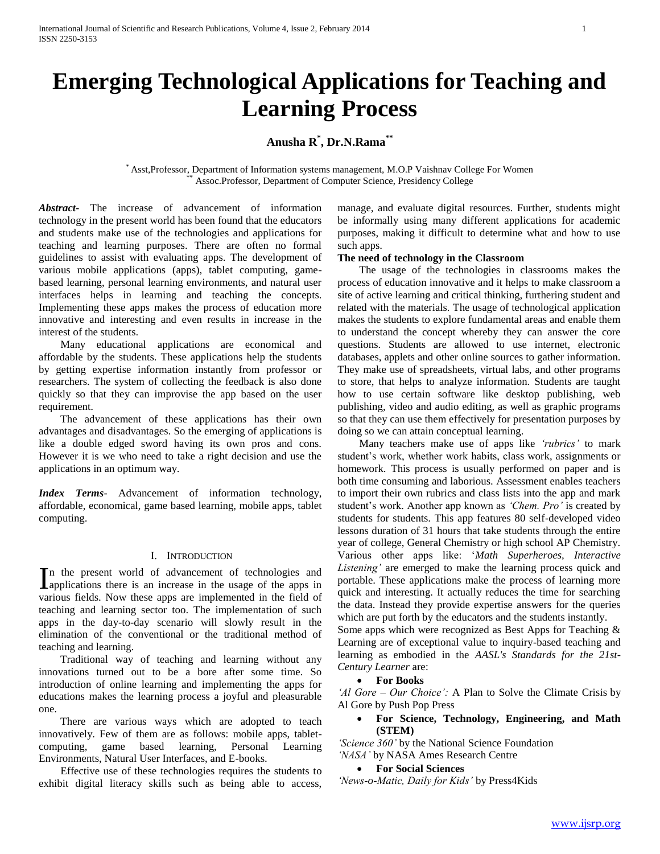# **Emerging Technological Applications for Teaching and Learning Process**

# **Anusha R\* , Dr.N.Rama\*\***

\* Asst,Professor, Department of Information systems management, M.O.P Vaishnav College For Women Assoc.Professor, Department of Computer Science, Presidency College

*Abstract***-** The increase of advancement of information technology in the present world has been found that the educators and students make use of the technologies and applications for teaching and learning purposes. There are often no formal guidelines to assist with evaluating apps. The development of various mobile applications (apps), tablet computing, gamebased learning, personal learning environments, and natural user interfaces helps in learning and teaching the concepts. Implementing these apps makes the process of education more innovative and interesting and even results in increase in the interest of the students.

 Many educational applications are economical and affordable by the students. These applications help the students by getting expertise information instantly from professor or researchers. The system of collecting the feedback is also done quickly so that they can improvise the app based on the user requirement.

 The advancement of these applications has their own advantages and disadvantages. So the emerging of applications is like a double edged sword having its own pros and cons. However it is we who need to take a right decision and use the applications in an optimum way.

*Index Terms*- Advancement of information technology, affordable, economical, game based learning, mobile apps, tablet computing.

### I. INTRODUCTION

n the present world of advancement of technologies and In the present world of advancement of technologies and applications there is an increase in the usage of the apps in various fields. Now these apps are implemented in the field of teaching and learning sector too. The implementation of such apps in the day-to-day scenario will slowly result in the elimination of the conventional or the traditional method of teaching and learning.

 Traditional way of teaching and learning without any innovations turned out to be a bore after some time. So introduction of online learning and implementing the apps for educations makes the learning process a joyful and pleasurable one.

 There are various ways which are adopted to teach innovatively. Few of them are as follows: mobile apps, tabletcomputing, game based learning, Personal Learning Environments, Natural User Interfaces, and E-books.

 Effective use of these technologies requires the students to exhibit digital literacy skills such as being able to access, manage, and evaluate digital resources. Further, students might be informally using many different applications for academic purposes, making it difficult to determine what and how to use such apps.

### **The need of technology in the Classroom**

 The usage of the technologies in classrooms makes the process of education innovative and it helps to make classroom a site of active learning and critical thinking, furthering student and related with the materials. The usage of technological application makes the students to explore fundamental areas and enable them to understand the concept whereby they can answer the core questions. Students are allowed to use internet, electronic databases, applets and other online sources to gather information. They make use of spreadsheets, virtual labs, and other programs to store, that helps to analyze information. Students are taught how to use certain software like desktop publishing, web publishing, video and audio editing, as well as graphic programs so that they can use them effectively for presentation purposes by doing so we can attain conceptual learning.

 Many teachers make use of apps like *'rubrics'* to mark student's work, whether work habits, class work, assignments or homework. This process is usually performed on paper and is both time consuming and laborious. Assessment enables teachers to import their own rubrics and class lists into the app and mark student's work. Another app known as *'Chem. Pro'* is created by students for students. This app features 80 self-developed video lessons duration of 31 hours that take students through the entire year of college, General Chemistry or high school AP Chemistry. Various other apps like: '*Math Superheroes, Interactive Listening'* are emerged to make the learning process quick and portable. These applications make the process of learning more quick and interesting. It actually reduces the time for searching the data. Instead they provide expertise answers for the queries which are put forth by the educators and the students instantly.

Some apps which were recognized as Best Apps for Teaching & Learning are of exceptional value to inquiry-based teaching and learning as embodied in the *AASL's Standards for the 21st-Century Learner* are:

### **For Books**

*'Al Gore – Our Choice':* A Plan to Solve the Climate Crisis by Al Gore by Push Pop Press

# **For Science, Technology, Engineering, and Math (STEM)**

*'Science 360'* by the National Science Foundation *'NASA'* by NASA Ames Research Centre

## **For Social Sciences**

*'News-o-Matic, Daily for Kids'* by Press4Kids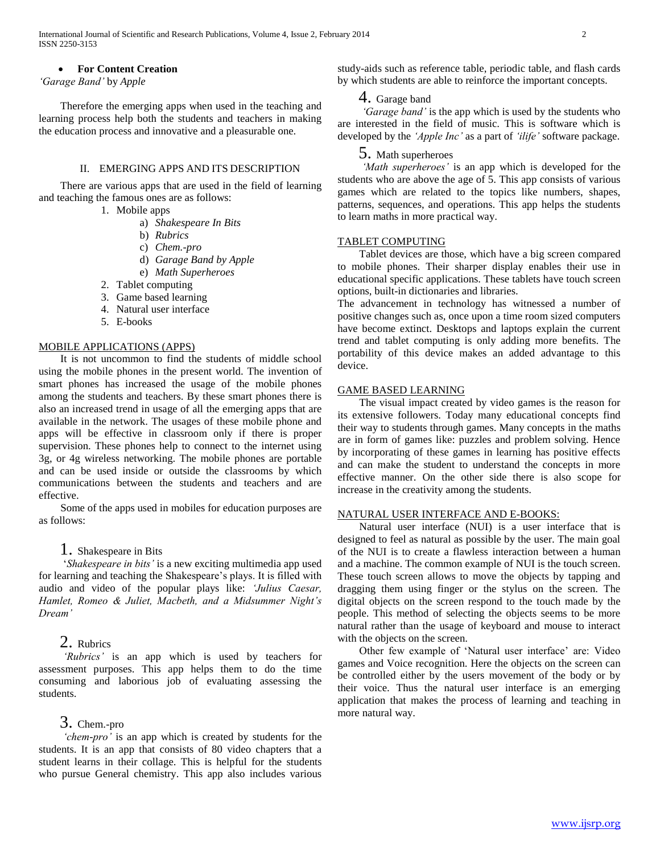### **For Content Creation**

*'Garage Band'* by *Apple*

 Therefore the emerging apps when used in the teaching and learning process help both the students and teachers in making the education process and innovative and a pleasurable one.

### II. EMERGING APPS AND ITS DESCRIPTION

 There are various apps that are used in the field of learning and teaching the famous ones are as follows:

- 1. Mobile apps
	- a) *Shakespeare In Bits*
	- b) *Rubrics*
	- c) *Chem.-pro*
	- d) *Garage Band by Apple*
	- e) *Math Superheroes*
- 2. Tablet computing
- 3. Game based learning
- 4. Natural user interface
- 5. E-books

# MOBILE APPLICATIONS (APPS)

 It is not uncommon to find the students of middle school using the mobile phones in the present world. The invention of smart phones has increased the usage of the mobile phones among the students and teachers. By these smart phones there is also an increased trend in usage of all the emerging apps that are available in the network. The usages of these mobile phone and apps will be effective in classroom only if there is proper supervision. These phones help to connect to the internet using 3g, or 4g wireless networking. The mobile phones are portable and can be used inside or outside the classrooms by which communications between the students and teachers and are effective.

 Some of the apps used in mobiles for education purposes are as follows:

# 1. Shakespeare in Bits

 '*Shakespeare in bits'* is a new exciting multimedia app used for learning and teaching the Shakespeare's plays. It is filled with audio and video of the popular plays like: *'Julius Caesar, Hamlet, Romeo & Juliet, Macbeth, and a Midsummer Night's Dream'*

# 2. Rubrics

 *'Rubrics'* is an app which is used by teachers for assessment purposes. This app helps them to do the time consuming and laborious job of evaluating assessing the students.

# 3. Chem.-pro

 *'chem-pro'* is an app which is created by students for the students. It is an app that consists of 80 video chapters that a student learns in their collage. This is helpful for the students who pursue General chemistry. This app also includes various

study-aids such as reference table, periodic table, and flash cards by which students are able to reinforce the important concepts.

# 4. Garage band

 *'Garage band'* is the app which is used by the students who are interested in the field of music. This is software which is developed by the *'Apple Inc'* as a part of *'ilife'* software package.

# 5. Math superheroes

 *'Math superheroes'* is an app which is developed for the students who are above the age of 5. This app consists of various games which are related to the topics like numbers, shapes, patterns, sequences, and operations. This app helps the students to learn maths in more practical way.

### TABLET COMPUTING

 Tablet devices are those, which have a big screen compared to mobile phones. Their sharper display enables their use in educational specific applications. These tablets have touch screen options, built-in dictionaries and libraries.

The advancement in technology has witnessed a number of positive changes such as, once upon a time room sized computers have become extinct. Desktops and laptops explain the current trend and tablet computing is only adding more benefits. The portability of this device makes an added advantage to this device.

# GAME BASED LEARNING

 The visual impact created by video games is the reason for its extensive followers. Today many educational concepts find their way to students through games. Many concepts in the maths are in form of games like: puzzles and problem solving. Hence by incorporating of these games in learning has positive effects and can make the student to understand the concepts in more effective manner. On the other side there is also scope for increase in the creativity among the students.

### NATURAL USER INTERFACE AND E-BOOKS:

 Natural user interface (NUI) is a user interface that is designed to feel as natural as possible by the user. The main goal of the NUI is to create a flawless interaction between a human and a machine. The common example of NUI is the touch screen. These touch screen allows to move the objects by tapping and dragging them using finger or the stylus on the screen. The digital objects on the screen respond to the touch made by the people. This method of selecting the objects seems to be more natural rather than the usage of keyboard and mouse to interact with the objects on the screen.

 Other few example of 'Natural user interface' are: Video games and Voice recognition. Here the objects on the screen can be controlled either by the users movement of the body or by their voice. Thus the natural user interface is an emerging application that makes the process of learning and teaching in more natural way.